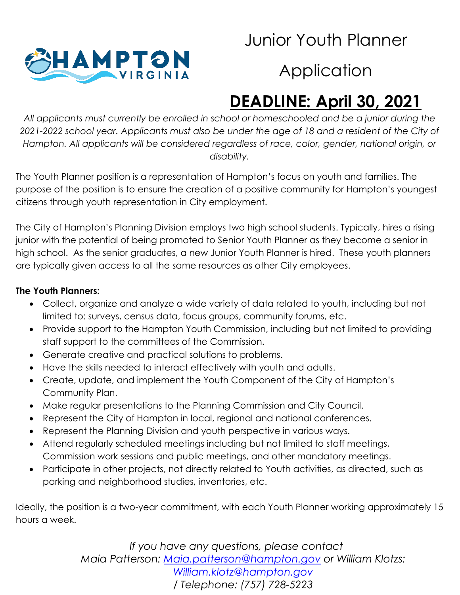

#### Junior Youth Planner

### **Application**

# **DEADLINE: April 30, 2021**

*All applicants must currently be enrolled in school or homeschooled and be a junior during the 2021-2022 school year. Applicants must also be under the age of 18 and a resident of the City of Hampton. All applicants will be considered regardless of race, color, gender, national origin, or disability.*

The Youth Planner position is a representation of Hampton's focus on youth and families. The purpose of the position is to ensure the creation of a positive community for Hampton's youngest citizens through youth representation in City employment.

The City of Hampton's Planning Division employs two high school students. Typically, hires a rising junior with the potential of being promoted to Senior Youth Planner as they become a senior in high school. As the senior graduates, a new Junior Youth Planner is hired. These youth planners are typically given access to all the same resources as other City employees.

#### **The Youth Planners:**

- Collect, organize and analyze a wide variety of data related to youth, including but not limited to: surveys, census data, focus groups, community forums, etc.
- Provide support to the Hampton Youth Commission, including but not limited to providing staff support to the committees of the Commission.
- Generate creative and practical solutions to problems.
- Have the skills needed to interact effectively with youth and adults.
- Create, update, and implement the Youth Component of the City of Hampton's Community Plan.
- Make regular presentations to the Planning Commission and City Council.
- Represent the City of Hampton in local, regional and national conferences.
- Represent the Planning Division and youth perspective in various ways.
- Attend regularly scheduled meetings including but not limited to staff meetings, Commission work sessions and public meetings, and other mandatory meetings.
- Participate in other projects, not directly related to Youth activities, as directed, such as parking and neighborhood studies, inventories, etc.

Ideally, the position is a two-year commitment, with each Youth Planner working approximately 15 hours a week.

> *If you have any questions, please contact Maia Patterson: [Maia.patterson@hampton.gov](mailto:Maia.patterson@hampton.gov) or William Klotzs: [William.klotz@hampton.gov](mailto:William.klotz@hampton.gov) / Telephone: (757) 728-5223*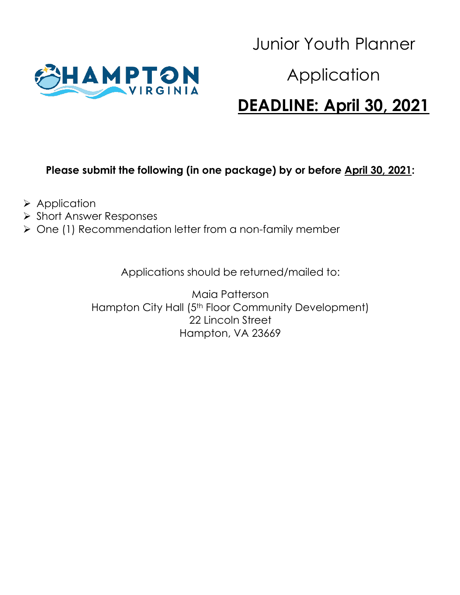

#### Junior Youth Planner

#### Application

#### **DEADLINE: April 30, 2021**

#### **Please submit the following (in one package) by or before April 30, 2021:**

- $\triangleright$  Application
- **≻ Short Answer Responses**
- $\triangleright$  One (1) Recommendation letter from a non-family member

Applications should be returned/mailed to:

Maia Patterson Hampton City Hall (5<sup>th</sup> Floor Community Development) 22 Lincoln Street Hampton, VA 23669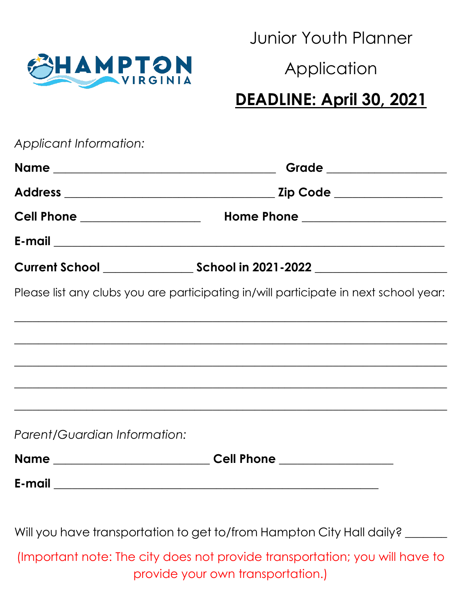

Junior Youth Planner

#### Application

# **DEADLINE: April 30, 2021**

| Applicant Information:                  |                                                                                                                       |
|-----------------------------------------|-----------------------------------------------------------------------------------------------------------------------|
|                                         | Grade ___________________                                                                                             |
|                                         |                                                                                                                       |
| <b>Cell Phone _____________________</b> |                                                                                                                       |
|                                         |                                                                                                                       |
|                                         |                                                                                                                       |
|                                         | Please list any clubs you are participating in/will participate in next school year:                                  |
|                                         | <u> 1989 - Johann Stoff, amerikan bestein de stad in de stad in de stad in de stad in de stad in de stad in de st</u> |
|                                         | ,我们也不能在这里的时候,我们也不能在这里的时候,我们也不能不能不能不能不能不能不能不能不能不能不能不能不能不能不能。""我们不能不能不能不能不能不能不能不能不能                                     |
|                                         |                                                                                                                       |
|                                         |                                                                                                                       |
| Parent/Guardian Information:            |                                                                                                                       |
|                                         | Name _________________________________Cell Phone _______________________________                                      |
|                                         |                                                                                                                       |
|                                         | Will you have transportation to get to/from Hampton City Hall daily? ______                                           |
|                                         | (Important note: The city does not provide transportation; you will have to<br>provide your own transportation.)      |